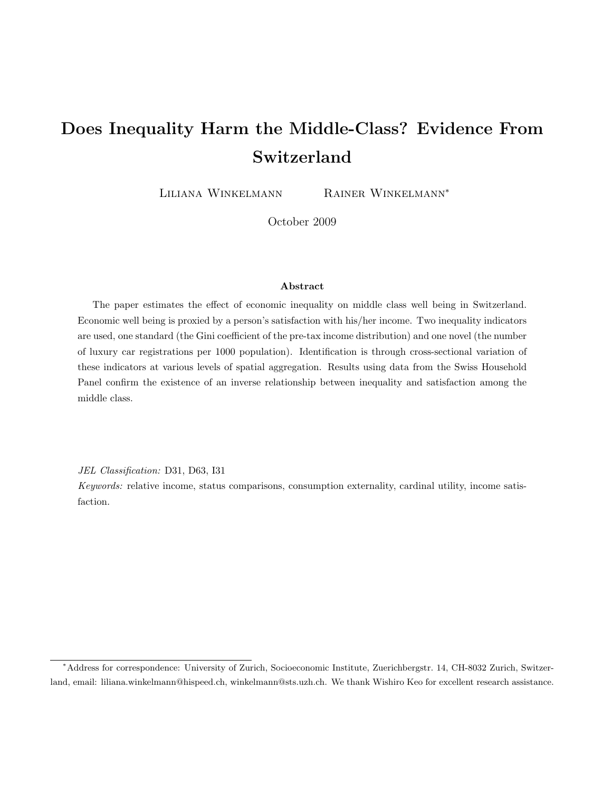# Does Inequality Harm the Middle-Class? Evidence From Switzerland

Liliana Winkelmann Rainer Winkelmann<sup>∗</sup>

October 2009

#### Abstract

The paper estimates the effect of economic inequality on middle class well being in Switzerland. Economic well being is proxied by a person's satisfaction with his/her income. Two inequality indicators are used, one standard (the Gini coefficient of the pre-tax income distribution) and one novel (the number of luxury car registrations per 1000 population). Identification is through cross-sectional variation of these indicators at various levels of spatial aggregation. Results using data from the Swiss Household Panel confirm the existence of an inverse relationship between inequality and satisfaction among the middle class.

JEL Classification: D31, D63, I31

Keywords: relative income, status comparisons, consumption externality, cardinal utility, income satisfaction.

<sup>∗</sup>Address for correspondence: University of Zurich, Socioeconomic Institute, Zuerichbergstr. 14, CH-8032 Zurich, Switzerland, email: liliana.winkelmann@hispeed.ch, winkelmann@sts.uzh.ch. We thank Wishiro Keo for excellent research assistance.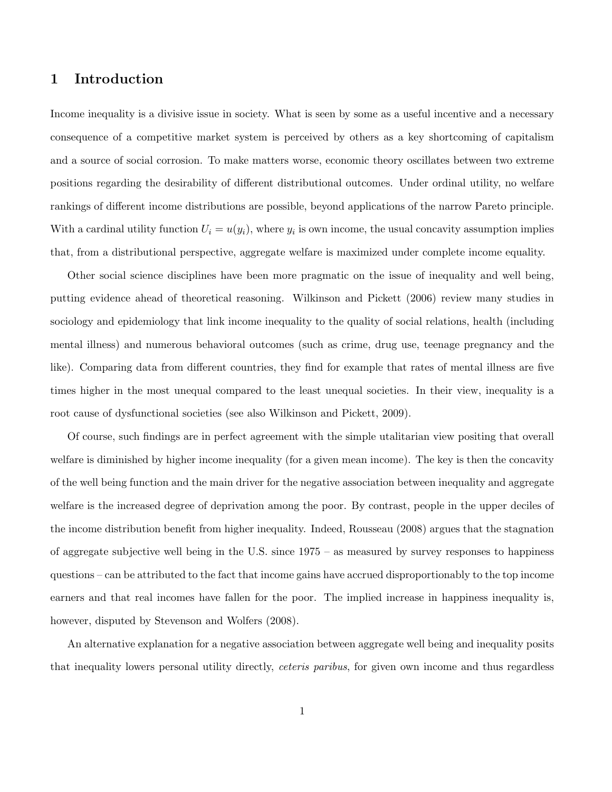## 1 Introduction

Income inequality is a divisive issue in society. What is seen by some as a useful incentive and a necessary consequence of a competitive market system is perceived by others as a key shortcoming of capitalism and a source of social corrosion. To make matters worse, economic theory oscillates between two extreme positions regarding the desirability of different distributional outcomes. Under ordinal utility, no welfare rankings of different income distributions are possible, beyond applications of the narrow Pareto principle. With a cardinal utility function  $U_i = u(y_i)$ , where  $y_i$  is own income, the usual concavity assumption implies that, from a distributional perspective, aggregate welfare is maximized under complete income equality.

Other social science disciplines have been more pragmatic on the issue of inequality and well being, putting evidence ahead of theoretical reasoning. Wilkinson and Pickett (2006) review many studies in sociology and epidemiology that link income inequality to the quality of social relations, health (including mental illness) and numerous behavioral outcomes (such as crime, drug use, teenage pregnancy and the like). Comparing data from different countries, they find for example that rates of mental illness are five times higher in the most unequal compared to the least unequal societies. In their view, inequality is a root cause of dysfunctional societies (see also Wilkinson and Pickett, 2009).

Of course, such findings are in perfect agreement with the simple utalitarian view positing that overall welfare is diminished by higher income inequality (for a given mean income). The key is then the concavity of the well being function and the main driver for the negative association between inequality and aggregate welfare is the increased degree of deprivation among the poor. By contrast, people in the upper deciles of the income distribution benefit from higher inequality. Indeed, Rousseau (2008) argues that the stagnation of aggregate subjective well being in the U.S. since 1975 – as measured by survey responses to happiness questions – can be attributed to the fact that income gains have accrued disproportionably to the top income earners and that real incomes have fallen for the poor. The implied increase in happiness inequality is, however, disputed by Stevenson and Wolfers (2008).

An alternative explanation for a negative association between aggregate well being and inequality posits that inequality lowers personal utility directly, ceteris paribus, for given own income and thus regardless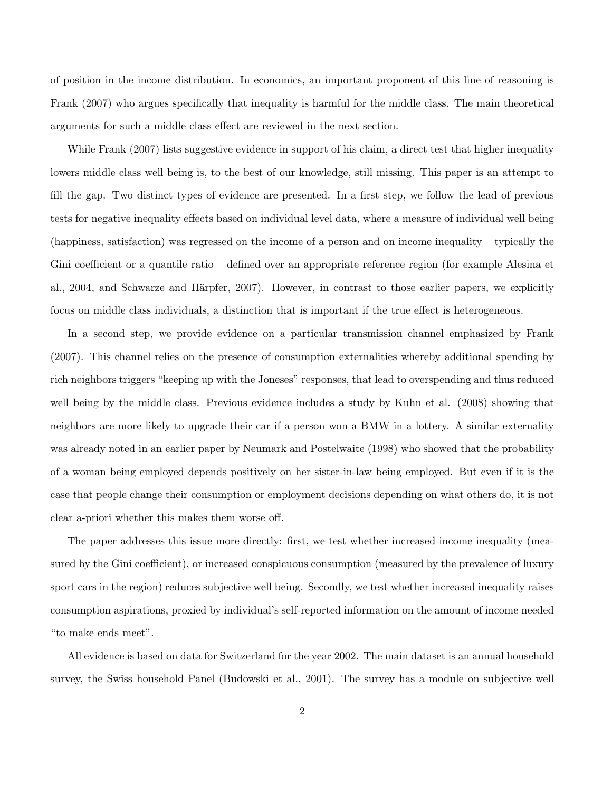of position in the income distribution. In economics, an important proponent of this line of reasoning is Frank (2007) who argues specifically that inequality is harmful for the middle class. The main theoretical arguments for such a middle class effect are reviewed in the next section.

While Frank (2007) lists suggestive evidence in support of his claim, a direct test that higher inequality lowers middle class well being is, to the best of our knowledge, still missing. This paper is an attempt to fill the gap. Two distinct types of evidence are presented. In a first step, we follow the lead of previous tests for negative inequality effects based on individual level data, where a measure of individual well being (happiness, satisfaction) was regressed on the income of a person and on income inequality – typically the Gini coefficient or a quantile ratio – defined over an appropriate reference region (for example Alesina et al., 2004, and Schwarze and Härpfer, 2007). However, in contrast to those earlier papers, we explicitly focus on middle class individuals, a distinction that is important if the true effect is heterogeneous.

In a second step, we provide evidence on a particular transmission channel emphasized by Frank (2007). This channel relies on the presence of consumption externalities whereby additional spending by rich neighbors triggers "keeping up with the Joneses" responses, that lead to overspending and thus reduced well being by the middle class. Previous evidence includes a study by Kuhn et al. (2008) showing that neighbors are more likely to upgrade their car if a person won a BMW in a lottery. A similar externality was already noted in an earlier paper by Neumark and Postelwaite (1998) who showed that the probability of a woman being employed depends positively on her sister-in-law being employed. But even if it is the case that people change their consumption or employment decisions depending on what others do, it is not clear a-priori whether this makes them worse off.

The paper addresses this issue more directly: first, we test whether increased income inequality (measured by the Gini coefficient), or increased conspicuous consumption (measured by the prevalence of luxury sport cars in the region) reduces subjective well being. Secondly, we test whether increased inequality raises consumption aspirations, proxied by individual's self-reported information on the amount of income needed "to make ends meet".

All evidence is based on data for Switzerland for the year 2002. The main dataset is an annual household survey, the Swiss household Panel (Budowski et al., 2001). The survey has a module on subjective well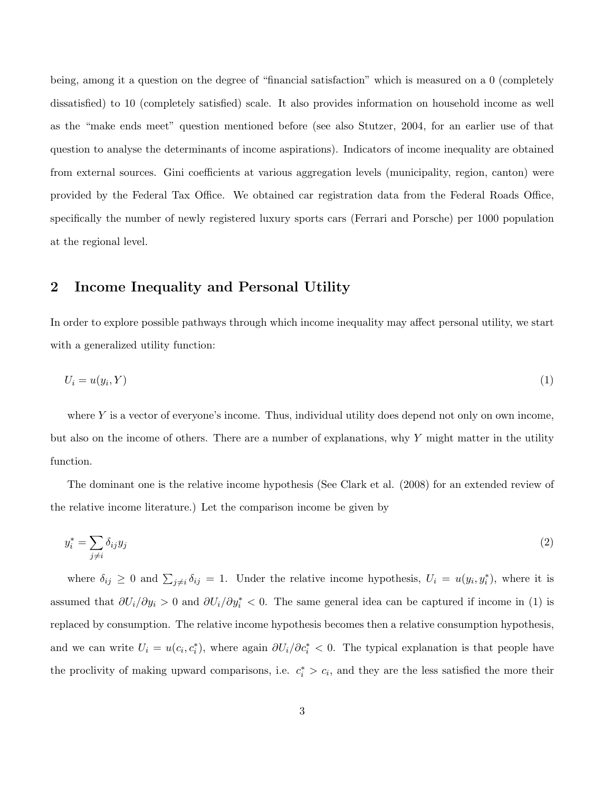being, among it a question on the degree of "financial satisfaction" which is measured on a 0 (completely dissatisfied) to 10 (completely satisfied) scale. It also provides information on household income as well as the "make ends meet" question mentioned before (see also Stutzer, 2004, for an earlier use of that question to analyse the determinants of income aspirations). Indicators of income inequality are obtained from external sources. Gini coefficients at various aggregation levels (municipality, region, canton) were provided by the Federal Tax Office. We obtained car registration data from the Federal Roads Office, specifically the number of newly registered luxury sports cars (Ferrari and Porsche) per 1000 population at the regional level.

# 2 Income Inequality and Personal Utility

In order to explore possible pathways through which income inequality may affect personal utility, we start with a generalized utility function:

<span id="page-3-0"></span>
$$
U_i = u(y_i, Y) \tag{1}
$$

where  $Y$  is a vector of everyone's income. Thus, individual utility does depend not only on own income, but also on the income of others. There are a number of explanations, why Y might matter in the utility function.

The dominant one is the relative income hypothesis (See Clark et al. (2008) for an extended review of the relative income literature.) Let the comparison income be given by

$$
y_i^* = \sum_{j \neq i} \delta_{ij} y_j \tag{2}
$$

where  $\delta_{ij} \geq 0$  and  $\sum_{j \neq i} \delta_{ij} = 1$ . Under the relative income hypothesis,  $U_i = u(y_i, y_i^*)$ , where it is assumed that  $\partial U_i/\partial y_i > 0$  and  $\partial U_i/\partial y_i^* < 0$ . The same general idea can be captured if income in (1) is replaced by consumption. The relative income hypothesis becomes then a relative consumption hypothesis, and we can write  $U_i = u(c_i, c_i^*)$ , where again  $\partial U_i / \partial c_i^* < 0$ . The typical explanation is that people have the proclivity of making upward comparisons, i.e.  $c_i^* > c_i$ , and they are the less satisfied the more their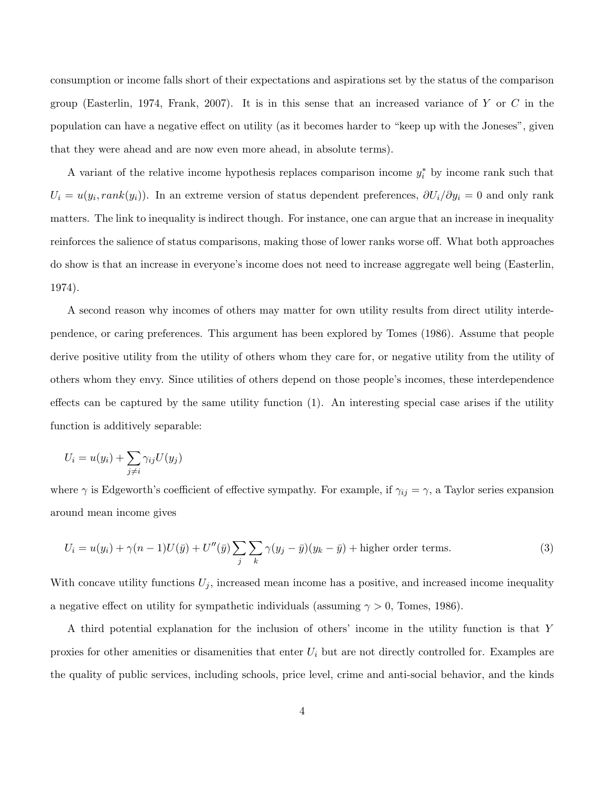consumption or income falls short of their expectations and aspirations set by the status of the comparison group (Easterlin, 1974, Frank, 2007). It is in this sense that an increased variance of Y or C in the population can have a negative effect on utility (as it becomes harder to "keep up with the Joneses", given that they were ahead and are now even more ahead, in absolute terms).

A variant of the relative income hypothesis replaces comparison income  $y_i^*$  by income rank such that  $U_i = u(y_i, rank(y_i))$ . In an extreme version of status dependent preferences,  $\partial U_i/\partial y_i = 0$  and only rank matters. The link to inequality is indirect though. For instance, one can argue that an increase in inequality reinforces the salience of status comparisons, making those of lower ranks worse off. What both approaches do show is that an increase in everyone's income does not need to increase aggregate well being (Easterlin, 1974).

A second reason why incomes of others may matter for own utility results from direct utility interdependence, or caring preferences. This argument has been explored by Tomes (1986). Assume that people derive positive utility from the utility of others whom they care for, or negative utility from the utility of others whom they envy. Since utilities of others depend on those people's incomes, these interdependence effects can be captured by the same utility function (1). An interesting special case arises if the utility function is additively separable:

$$
U_i = u(y_i) + \sum_{j \neq i} \gamma_{ij} U(y_j)
$$

where  $\gamma$  is Edgeworth's coefficient of effective sympathy. For example, if  $\gamma_{ij} = \gamma$ , a Taylor series expansion around mean income gives

$$
U_i = u(y_i) + \gamma (n-1)U(\bar{y}) + U''(\bar{y}) \sum_j \sum_k \gamma (y_j - \bar{y})(y_k - \bar{y}) + \text{higher order terms.}
$$
\n(3)

With concave utility functions  $U_j$ , increased mean income has a positive, and increased income inequality a negative effect on utility for sympathetic individuals (assuming  $\gamma > 0$ , Tomes, 1986).

A third potential explanation for the inclusion of others' income in the utility function is that Y proxies for other amenities or disamenities that enter  $U_i$  but are not directly controlled for. Examples are the quality of public services, including schools, price level, crime and anti-social behavior, and the kinds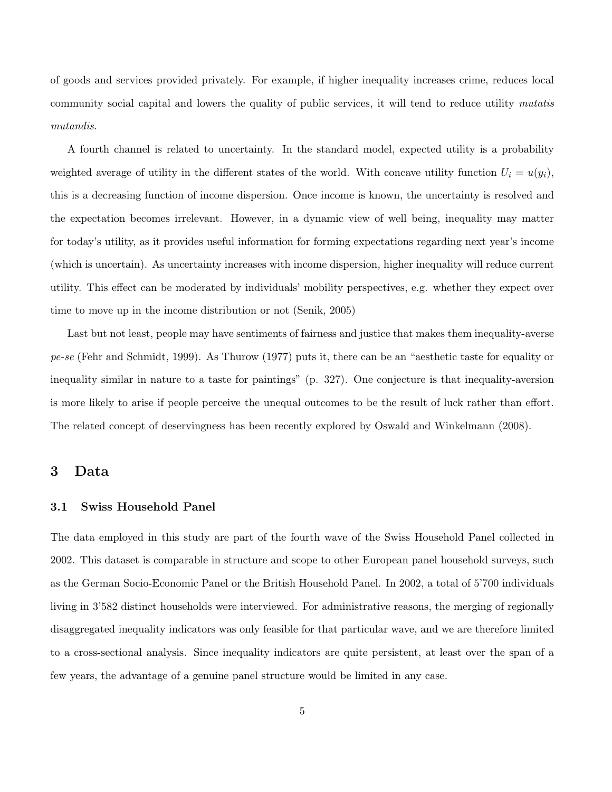of goods and services provided privately. For example, if higher inequality increases crime, reduces local community social capital and lowers the quality of public services, it will tend to reduce utility mutatis mutandis.

A fourth channel is related to uncertainty. In the standard model, expected utility is a probability weighted average of utility in the different states of the world. With concave utility function  $U_i = u(y_i)$ , this is a decreasing function of income dispersion. Once income is known, the uncertainty is resolved and the expectation becomes irrelevant. However, in a dynamic view of well being, inequality may matter for today's utility, as it provides useful information for forming expectations regarding next year's income (which is uncertain). As uncertainty increases with income dispersion, higher inequality will reduce current utility. This effect can be moderated by individuals' mobility perspectives, e.g. whether they expect over time to move up in the income distribution or not (Senik, 2005)

Last but not least, people may have sentiments of fairness and justice that makes them inequality-averse pe-se (Fehr and Schmidt, 1999). As Thurow (1977) puts it, there can be an "aesthetic taste for equality or inequality similar in nature to a taste for paintings" (p. 327). One conjecture is that inequality-aversion is more likely to arise if people perceive the unequal outcomes to be the result of luck rather than effort. The related concept of deservingness has been recently explored by Oswald and Winkelmann (2008).

### 3 Data

#### 3.1 Swiss Household Panel

The data employed in this study are part of the fourth wave of the Swiss Household Panel collected in 2002. This dataset is comparable in structure and scope to other European panel household surveys, such as the German Socio-Economic Panel or the British Household Panel. In 2002, a total of 5'700 individuals living in 3'582 distinct households were interviewed. For administrative reasons, the merging of regionally disaggregated inequality indicators was only feasible for that particular wave, and we are therefore limited to a cross-sectional analysis. Since inequality indicators are quite persistent, at least over the span of a few years, the advantage of a genuine panel structure would be limited in any case.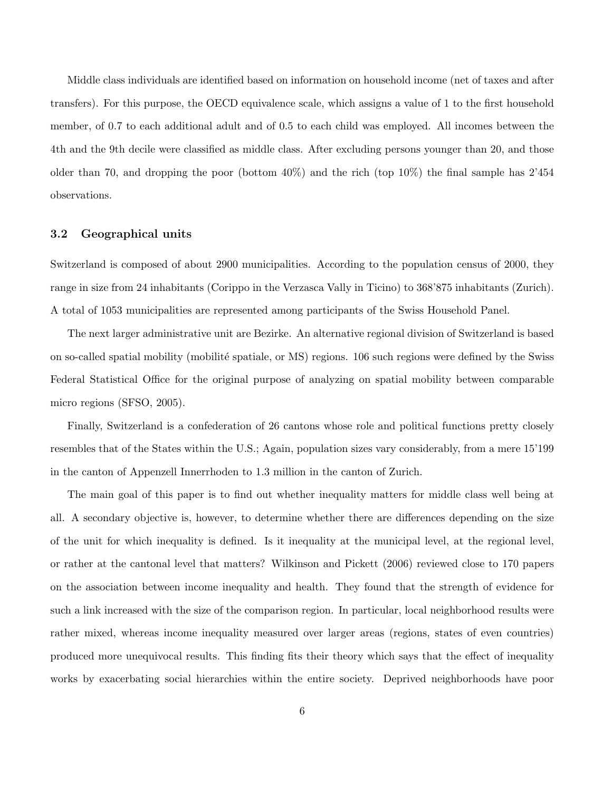Middle class individuals are identified based on information on household income (net of taxes and after transfers). For this purpose, the OECD equivalence scale, which assigns a value of 1 to the first household member, of 0.7 to each additional adult and of 0.5 to each child was employed. All incomes between the 4th and the 9th decile were classified as middle class. After excluding persons younger than 20, and those older than 70, and dropping the poor (bottom 40%) and the rich (top 10%) the final sample has 2'454 observations.

#### 3.2 Geographical units

Switzerland is composed of about 2900 municipalities. According to the population census of 2000, they range in size from 24 inhabitants (Corippo in the Verzasca Vally in Ticino) to 368'875 inhabitants (Zurich). A total of 1053 municipalities are represented among participants of the Swiss Household Panel.

The next larger administrative unit are Bezirke. An alternative regional division of Switzerland is based on so-called spatial mobility (mobilité spatiale, or MS) regions. 106 such regions were defined by the Swiss Federal Statistical Office for the original purpose of analyzing on spatial mobility between comparable micro regions (SFSO, 2005).

Finally, Switzerland is a confederation of 26 cantons whose role and political functions pretty closely resembles that of the States within the U.S.; Again, population sizes vary considerably, from a mere 15'199 in the canton of Appenzell Innerrhoden to 1.3 million in the canton of Zurich.

The main goal of this paper is to find out whether inequality matters for middle class well being at all. A secondary objective is, however, to determine whether there are differences depending on the size of the unit for which inequality is defined. Is it inequality at the municipal level, at the regional level, or rather at the cantonal level that matters? Wilkinson and Pickett (2006) reviewed close to 170 papers on the association between income inequality and health. They found that the strength of evidence for such a link increased with the size of the comparison region. In particular, local neighborhood results were rather mixed, whereas income inequality measured over larger areas (regions, states of even countries) produced more unequivocal results. This finding fits their theory which says that the effect of inequality works by exacerbating social hierarchies within the entire society. Deprived neighborhoods have poor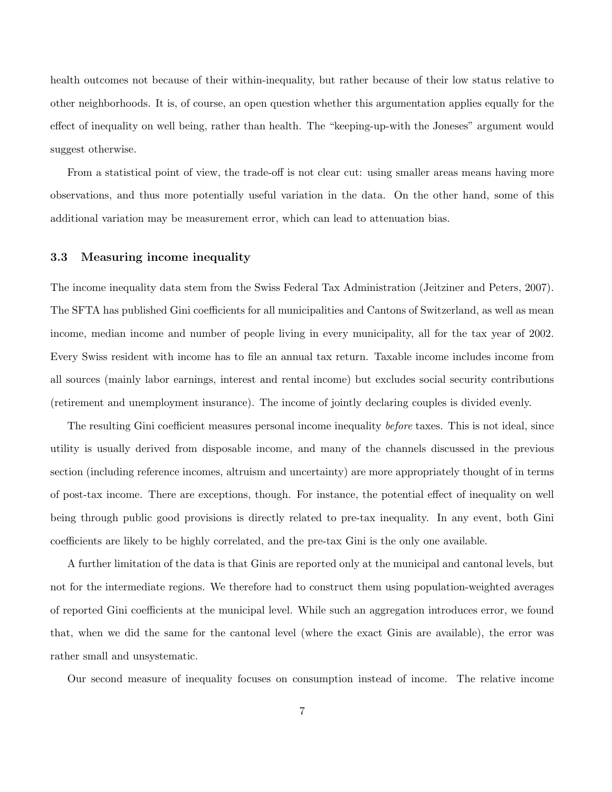health outcomes not because of their within-inequality, but rather because of their low status relative to other neighborhoods. It is, of course, an open question whether this argumentation applies equally for the effect of inequality on well being, rather than health. The "keeping-up-with the Joneses" argument would suggest otherwise.

From a statistical point of view, the trade-off is not clear cut: using smaller areas means having more observations, and thus more potentially useful variation in the data. On the other hand, some of this additional variation may be measurement error, which can lead to attenuation bias.

#### 3.3 Measuring income inequality

The income inequality data stem from the Swiss Federal Tax Administration (Jeitziner and Peters, 2007). The SFTA has published Gini coefficients for all municipalities and Cantons of Switzerland, as well as mean income, median income and number of people living in every municipality, all for the tax year of 2002. Every Swiss resident with income has to file an annual tax return. Taxable income includes income from all sources (mainly labor earnings, interest and rental income) but excludes social security contributions (retirement and unemployment insurance). The income of jointly declaring couples is divided evenly.

The resulting Gini coefficient measures personal income inequality *before* taxes. This is not ideal, since utility is usually derived from disposable income, and many of the channels discussed in the previous section (including reference incomes, altruism and uncertainty) are more appropriately thought of in terms of post-tax income. There are exceptions, though. For instance, the potential effect of inequality on well being through public good provisions is directly related to pre-tax inequality. In any event, both Gini coefficients are likely to be highly correlated, and the pre-tax Gini is the only one available.

A further limitation of the data is that Ginis are reported only at the municipal and cantonal levels, but not for the intermediate regions. We therefore had to construct them using population-weighted averages of reported Gini coefficients at the municipal level. While such an aggregation introduces error, we found that, when we did the same for the cantonal level (where the exact Ginis are available), the error was rather small and unsystematic.

Our second measure of inequality focuses on consumption instead of income. The relative income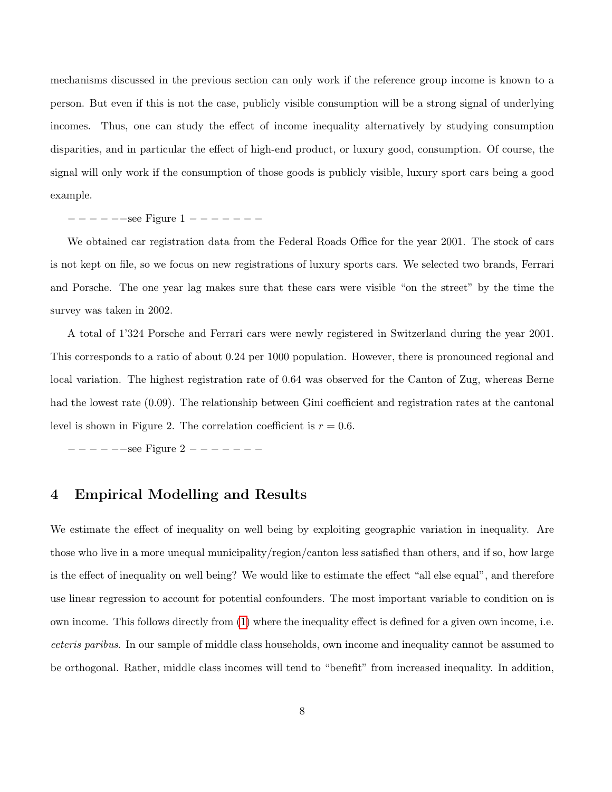mechanisms discussed in the previous section can only work if the reference group income is known to a person. But even if this is not the case, publicly visible consumption will be a strong signal of underlying incomes. Thus, one can study the effect of income inequality alternatively by studying consumption disparities, and in particular the effect of high-end product, or luxury good, consumption. Of course, the signal will only work if the consumption of those goods is publicly visible, luxury sport cars being a good example.

#### − − − − −−see Figure 1 − − − − − − −

We obtained car registration data from the Federal Roads Office for the year 2001. The stock of cars is not kept on file, so we focus on new registrations of luxury sports cars. We selected two brands, Ferrari and Porsche. The one year lag makes sure that these cars were visible "on the street" by the time the survey was taken in 2002.

A total of 1'324 Porsche and Ferrari cars were newly registered in Switzerland during the year 2001. This corresponds to a ratio of about 0.24 per 1000 population. However, there is pronounced regional and local variation. The highest registration rate of 0.64 was observed for the Canton of Zug, whereas Berne had the lowest rate  $(0.09)$ . The relationship between Gini coefficient and registration rates at the cantonal level is shown in Figure 2. The correlation coefficient is  $r = 0.6$ .

− − − − −−see Figure 2 − − − − − − −

## 4 Empirical Modelling and Results

We estimate the effect of inequality on well being by exploiting geographic variation in inequality. Are those who live in a more unequal municipality/region/canton less satisfied than others, and if so, how large is the effect of inequality on well being? We would like to estimate the effect "all else equal", and therefore use linear regression to account for potential confounders. The most important variable to condition on is own income. This follows directly from [\(1\)](#page-3-0) where the inequality effect is defined for a given own income, i.e. ceteris paribus. In our sample of middle class households, own income and inequality cannot be assumed to be orthogonal. Rather, middle class incomes will tend to "benefit" from increased inequality. In addition,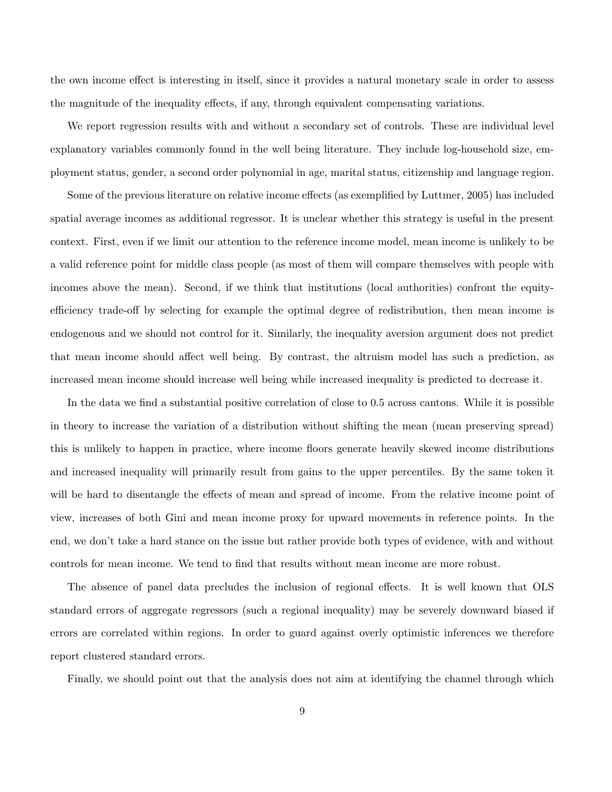the own income effect is interesting in itself, since it provides a natural monetary scale in order to assess the magnitude of the inequality effects, if any, through equivalent compensating variations.

We report regression results with and without a secondary set of controls. These are individual level explanatory variables commonly found in the well being literature. They include log-household size, employment status, gender, a second order polynomial in age, marital status, citizenship and language region.

Some of the previous literature on relative income effects (as exemplified by Luttmer, 2005) has included spatial average incomes as additional regressor. It is unclear whether this strategy is useful in the present context. First, even if we limit our attention to the reference income model, mean income is unlikely to be a valid reference point for middle class people (as most of them will compare themselves with people with incomes above the mean). Second, if we think that institutions (local authorities) confront the equityefficiency trade-off by selecting for example the optimal degree of redistribution, then mean income is endogenous and we should not control for it. Similarly, the inequality aversion argument does not predict that mean income should affect well being. By contrast, the altruism model has such a prediction, as increased mean income should increase well being while increased inequality is predicted to decrease it.

In the data we find a substantial positive correlation of close to 0.5 across cantons. While it is possible in theory to increase the variation of a distribution without shifting the mean (mean preserving spread) this is unlikely to happen in practice, where income floors generate heavily skewed income distributions and increased inequality will primarily result from gains to the upper percentiles. By the same token it will be hard to disentangle the effects of mean and spread of income. From the relative income point of view, increases of both Gini and mean income proxy for upward movements in reference points. In the end, we don't take a hard stance on the issue but rather provide both types of evidence, with and without controls for mean income. We tend to find that results without mean income are more robust.

The absence of panel data precludes the inclusion of regional effects. It is well known that OLS standard errors of aggregate regressors (such a regional inequality) may be severely downward biased if errors are correlated within regions. In order to guard against overly optimistic inferences we therefore report clustered standard errors.

Finally, we should point out that the analysis does not aim at identifying the channel through which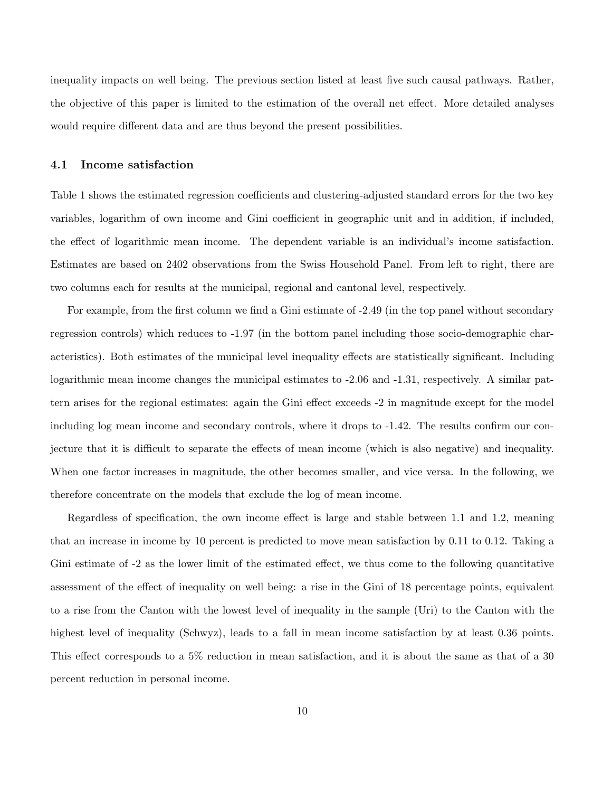inequality impacts on well being. The previous section listed at least five such causal pathways. Rather, the objective of this paper is limited to the estimation of the overall net effect. More detailed analyses would require different data and are thus beyond the present possibilities.

#### 4.1 Income satisfaction

Table 1 shows the estimated regression coefficients and clustering-adjusted standard errors for the two key variables, logarithm of own income and Gini coefficient in geographic unit and in addition, if included, the effect of logarithmic mean income. The dependent variable is an individual's income satisfaction. Estimates are based on 2402 observations from the Swiss Household Panel. From left to right, there are two columns each for results at the municipal, regional and cantonal level, respectively.

For example, from the first column we find a Gini estimate of -2.49 (in the top panel without secondary regression controls) which reduces to -1.97 (in the bottom panel including those socio-demographic characteristics). Both estimates of the municipal level inequality effects are statistically significant. Including logarithmic mean income changes the municipal estimates to -2.06 and -1.31, respectively. A similar pattern arises for the regional estimates: again the Gini effect exceeds -2 in magnitude except for the model including log mean income and secondary controls, where it drops to -1.42. The results confirm our conjecture that it is difficult to separate the effects of mean income (which is also negative) and inequality. When one factor increases in magnitude, the other becomes smaller, and vice versa. In the following, we therefore concentrate on the models that exclude the log of mean income.

Regardless of specification, the own income effect is large and stable between 1.1 and 1.2, meaning that an increase in income by 10 percent is predicted to move mean satisfaction by 0.11 to 0.12. Taking a Gini estimate of -2 as the lower limit of the estimated effect, we thus come to the following quantitative assessment of the effect of inequality on well being: a rise in the Gini of 18 percentage points, equivalent to a rise from the Canton with the lowest level of inequality in the sample (Uri) to the Canton with the highest level of inequality (Schwyz), leads to a fall in mean income satisfaction by at least 0.36 points. This effect corresponds to a 5% reduction in mean satisfaction, and it is about the same as that of a 30 percent reduction in personal income.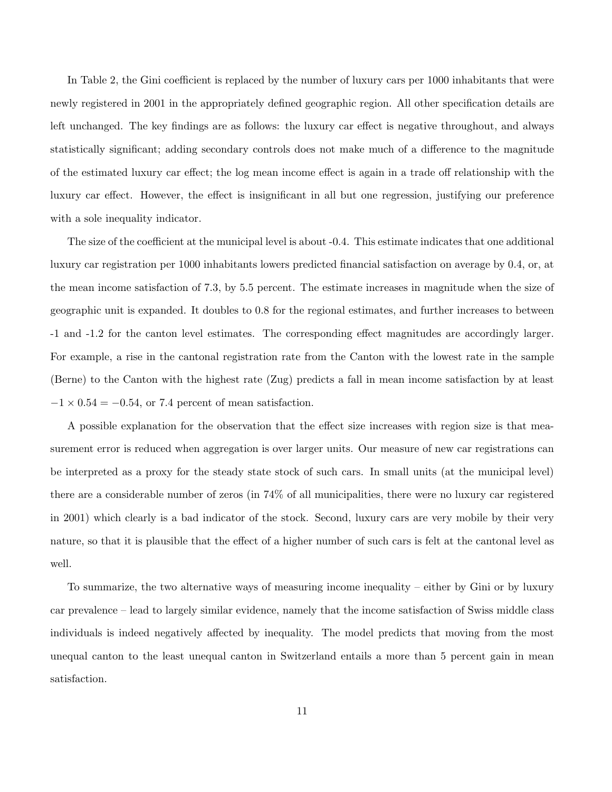In Table 2, the Gini coefficient is replaced by the number of luxury cars per 1000 inhabitants that were newly registered in 2001 in the appropriately defined geographic region. All other specification details are left unchanged. The key findings are as follows: the luxury car effect is negative throughout, and always statistically significant; adding secondary controls does not make much of a difference to the magnitude of the estimated luxury car effect; the log mean income effect is again in a trade off relationship with the luxury car effect. However, the effect is insignificant in all but one regression, justifying our preference with a sole inequality indicator.

The size of the coefficient at the municipal level is about -0.4. This estimate indicates that one additional luxury car registration per 1000 inhabitants lowers predicted financial satisfaction on average by 0.4, or, at the mean income satisfaction of 7.3, by 5.5 percent. The estimate increases in magnitude when the size of geographic unit is expanded. It doubles to 0.8 for the regional estimates, and further increases to between -1 and -1.2 for the canton level estimates. The corresponding effect magnitudes are accordingly larger. For example, a rise in the cantonal registration rate from the Canton with the lowest rate in the sample (Berne) to the Canton with the highest rate (Zug) predicts a fall in mean income satisfaction by at least  $-1 \times 0.54 = -0.54$ , or 7.4 percent of mean satisfaction.

A possible explanation for the observation that the effect size increases with region size is that measurement error is reduced when aggregation is over larger units. Our measure of new car registrations can be interpreted as a proxy for the steady state stock of such cars. In small units (at the municipal level) there are a considerable number of zeros (in 74% of all municipalities, there were no luxury car registered in 2001) which clearly is a bad indicator of the stock. Second, luxury cars are very mobile by their very nature, so that it is plausible that the effect of a higher number of such cars is felt at the cantonal level as well.

To summarize, the two alternative ways of measuring income inequality – either by Gini or by luxury car prevalence – lead to largely similar evidence, namely that the income satisfaction of Swiss middle class individuals is indeed negatively affected by inequality. The model predicts that moving from the most unequal canton to the least unequal canton in Switzerland entails a more than 5 percent gain in mean satisfaction.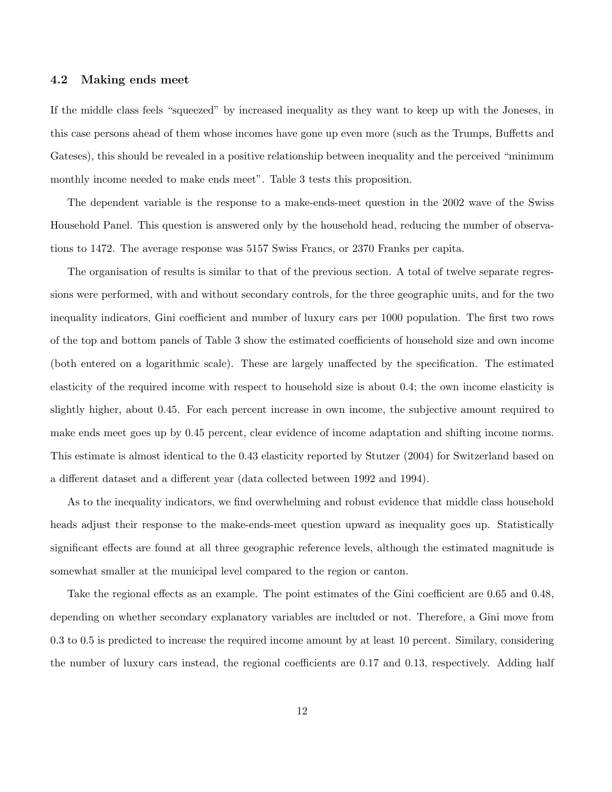#### 4.2 Making ends meet

If the middle class feels "squeezed" by increased inequality as they want to keep up with the Joneses, in this case persons ahead of them whose incomes have gone up even more (such as the Trumps, Buffetts and Gateses), this should be revealed in a positive relationship between inequality and the perceived "minimum" monthly income needed to make ends meet". Table 3 tests this proposition.

The dependent variable is the response to a make-ends-meet question in the 2002 wave of the Swiss Household Panel. This question is answered only by the household head, reducing the number of observations to 1472. The average response was 5157 Swiss Francs, or 2370 Franks per capita.

The organisation of results is similar to that of the previous section. A total of twelve separate regressions were performed, with and without secondary controls, for the three geographic units, and for the two inequality indicators, Gini coefficient and number of luxury cars per 1000 population. The first two rows of the top and bottom panels of Table 3 show the estimated coefficients of household size and own income (both entered on a logarithmic scale). These are largely unaffected by the specification. The estimated elasticity of the required income with respect to household size is about 0.4; the own income elasticity is slightly higher, about 0.45. For each percent increase in own income, the subjective amount required to make ends meet goes up by 0.45 percent, clear evidence of income adaptation and shifting income norms. This estimate is almost identical to the 0.43 elasticity reported by Stutzer (2004) for Switzerland based on a different dataset and a different year (data collected between 1992 and 1994).

As to the inequality indicators, we find overwhelming and robust evidence that middle class household heads adjust their response to the make-ends-meet question upward as inequality goes up. Statistically significant effects are found at all three geographic reference levels, although the estimated magnitude is somewhat smaller at the municipal level compared to the region or canton.

Take the regional effects as an example. The point estimates of the Gini coefficient are 0.65 and 0.48, depending on whether secondary explanatory variables are included or not. Therefore, a Gini move from 0.3 to 0.5 is predicted to increase the required income amount by at least 10 percent. Similary, considering the number of luxury cars instead, the regional coefficients are 0.17 and 0.13, respectively. Adding half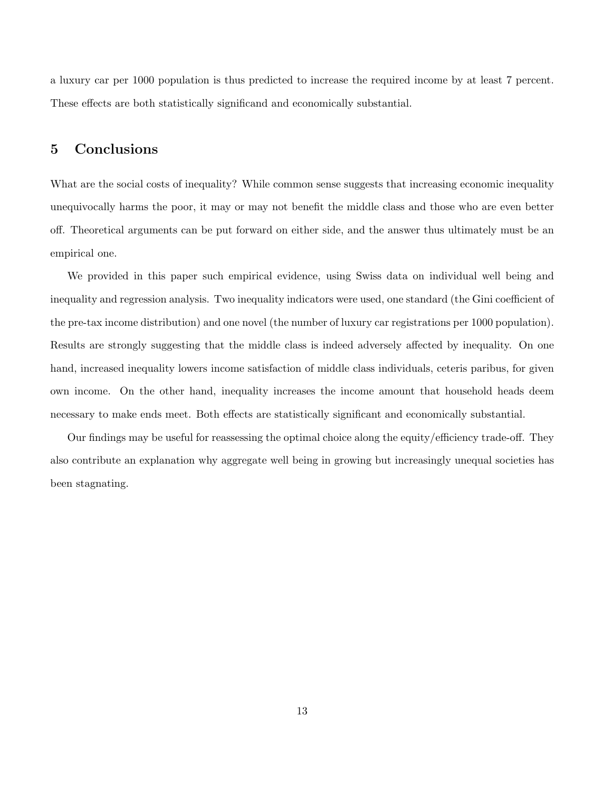a luxury car per 1000 population is thus predicted to increase the required income by at least 7 percent. These effects are both statistically significand and economically substantial.

# 5 Conclusions

What are the social costs of inequality? While common sense suggests that increasing economic inequality unequivocally harms the poor, it may or may not benefit the middle class and those who are even better off. Theoretical arguments can be put forward on either side, and the answer thus ultimately must be an empirical one.

We provided in this paper such empirical evidence, using Swiss data on individual well being and inequality and regression analysis. Two inequality indicators were used, one standard (the Gini coefficient of the pre-tax income distribution) and one novel (the number of luxury car registrations per 1000 population). Results are strongly suggesting that the middle class is indeed adversely affected by inequality. On one hand, increased inequality lowers income satisfaction of middle class individuals, ceteris paribus, for given own income. On the other hand, inequality increases the income amount that household heads deem necessary to make ends meet. Both effects are statistically significant and economically substantial.

Our findings may be useful for reassessing the optimal choice along the equity/efficiency trade-off. They also contribute an explanation why aggregate well being in growing but increasingly unequal societies has been stagnating.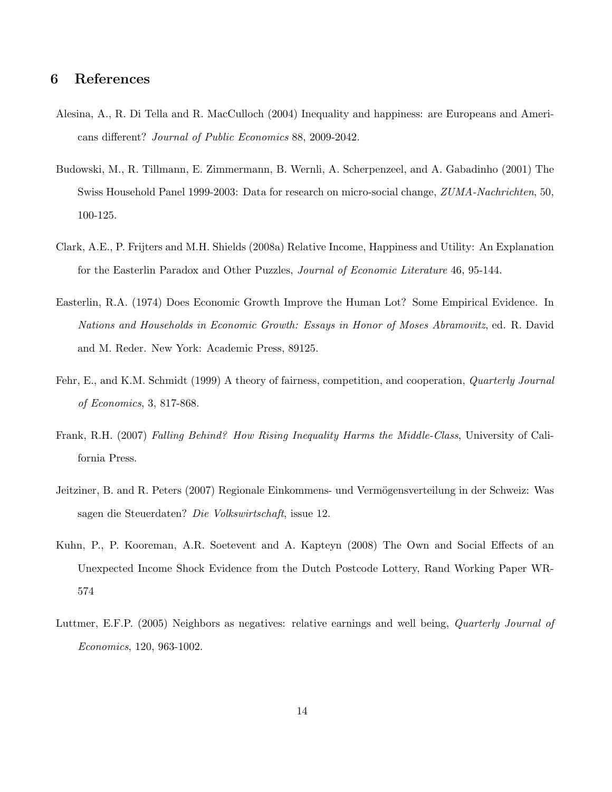# 6 References

- Alesina, A., R. Di Tella and R. MacCulloch (2004) Inequality and happiness: are Europeans and Americans different? Journal of Public Economics 88, 2009-2042.
- Budowski, M., R. Tillmann, E. Zimmermann, B. Wernli, A. Scherpenzeel, and A. Gabadinho (2001) The Swiss Household Panel 1999-2003: Data for research on micro-social change, ZUMA-Nachrichten, 50, 100-125.
- Clark, A.E., P. Frijters and M.H. Shields (2008a) Relative Income, Happiness and Utility: An Explanation for the Easterlin Paradox and Other Puzzles, Journal of Economic Literature 46, 95-144.
- Easterlin, R.A. (1974) Does Economic Growth Improve the Human Lot? Some Empirical Evidence. In Nations and Households in Economic Growth: Essays in Honor of Moses Abramovitz, ed. R. David and M. Reder. New York: Academic Press, 89125.
- Fehr, E., and K.M. Schmidt (1999) A theory of fairness, competition, and cooperation, Quarterly Journal of Economics, 3, 817-868.
- Frank, R.H. (2007) Falling Behind? How Rising Inequality Harms the Middle-Class, University of California Press.
- Jeitziner, B. and R. Peters (2007) Regionale Einkommens- und Vermögensverteilung in der Schweiz: Was sagen die Steuerdaten? Die Volkswirtschaft, issue 12.
- Kuhn, P., P. Kooreman, A.R. Soetevent and A. Kapteyn (2008) The Own and Social Effects of an Unexpected Income Shock Evidence from the Dutch Postcode Lottery, Rand Working Paper WR-574
- Luttmer, E.F.P. (2005) Neighbors as negatives: relative earnings and well being, *Quarterly Journal of* Economics, 120, 963-1002.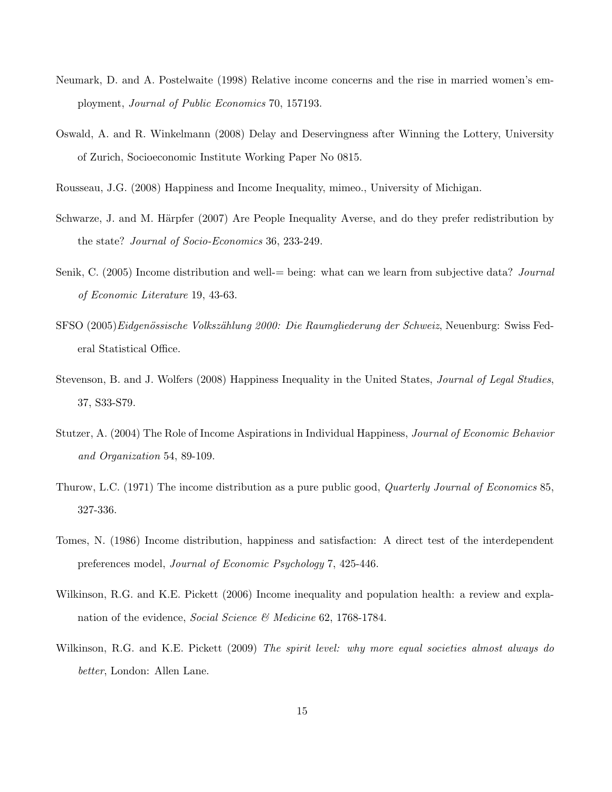- Neumark, D. and A. Postelwaite (1998) Relative income concerns and the rise in married women's employment, Journal of Public Economics 70, 157193.
- Oswald, A. and R. Winkelmann (2008) Delay and Deservingness after Winning the Lottery, University of Zurich, Socioeconomic Institute Working Paper No 0815.
- Rousseau, J.G. (2008) Happiness and Income Inequality, mimeo., University of Michigan.
- Schwarze, J. and M. Härpfer (2007) Are People Inequality Averse, and do they prefer redistribution by the state? Journal of Socio-Economics 36, 233-249.
- Senik, C. (2005) Income distribution and well- $=$  being: what can we learn from subjective data? *Journal* of Economic Literature 19, 43-63.
- SFSO (2005)Eidgenössische Volkszählung 2000: Die Raumgliederung der Schweiz, Neuenburg: Swiss Federal Statistical Office.
- Stevenson, B. and J. Wolfers (2008) Happiness Inequality in the United States, Journal of Legal Studies, 37, S33-S79.
- Stutzer, A. (2004) The Role of Income Aspirations in Individual Happiness, Journal of Economic Behavior and Organization 54, 89-109.
- Thurow, L.C. (1971) The income distribution as a pure public good, *Quarterly Journal of Economics* 85, 327-336.
- Tomes, N. (1986) Income distribution, happiness and satisfaction: A direct test of the interdependent preferences model, Journal of Economic Psychology 7, 425-446.
- Wilkinson, R.G. and K.E. Pickett (2006) Income inequality and population health: a review and explanation of the evidence, Social Science & Medicine 62, 1768-1784.
- Wilkinson, R.G. and K.E. Pickett (2009) The spirit level: why more equal societies almost always do better, London: Allen Lane.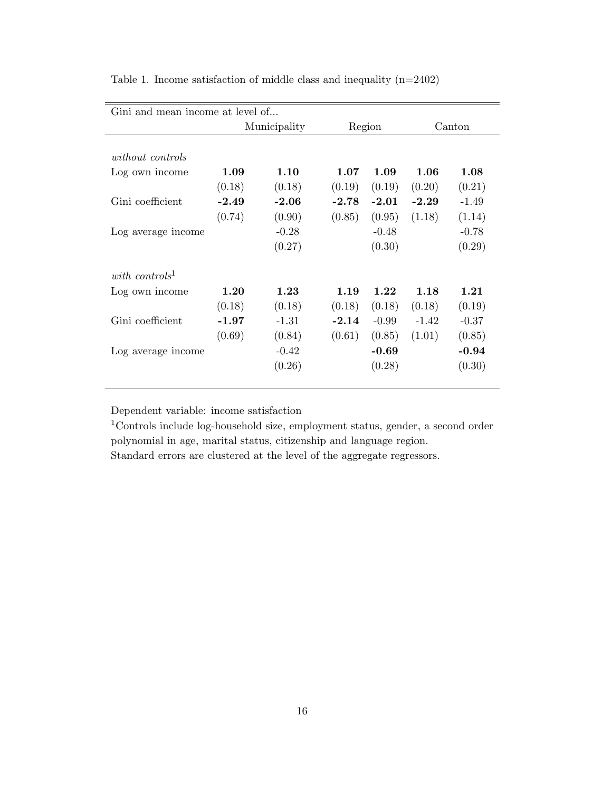| Gini and mean income at level of |              |         |         |         |         |         |  |  |
|----------------------------------|--------------|---------|---------|---------|---------|---------|--|--|
|                                  | Municipality |         | Region  |         | Canton  |         |  |  |
|                                  |              |         |         |         |         |         |  |  |
| <i>without controls</i>          |              |         |         |         |         |         |  |  |
| Log own income                   | 1.09         | 1.10    | 1.07    | 1.09    | 1.06    | 1.08    |  |  |
|                                  | (0.18)       | (0.18)  | (0.19)  | (0.19)  | (0.20)  | (0.21)  |  |  |
| Gini coefficient                 | $-2.49$      | $-2.06$ | $-2.78$ | $-2.01$ | $-2.29$ | $-1.49$ |  |  |
|                                  | (0.74)       | (0.90)  | (0.85)  | (0.95)  | (1.18)  | (1.14)  |  |  |
| Log average income               |              | $-0.28$ |         | $-0.48$ |         | $-0.78$ |  |  |
|                                  |              | (0.27)  |         | (0.30)  |         | (0.29)  |  |  |
| with controls <sup>1</sup>       |              |         |         |         |         |         |  |  |
| Log own income                   | 1.20         | 1.23    | 1.19    | 1.22    | 1.18    | 1.21    |  |  |
|                                  | (0.18)       | (0.18)  | (0.18)  | (0.18)  | (0.18)  | (0.19)  |  |  |
| Gini coefficient                 | $-1.97$      | $-1.31$ | $-2.14$ | $-0.99$ | $-1.42$ | $-0.37$ |  |  |
|                                  | (0.69)       | (0.84)  | (0.61)  | (0.85)  | (1.01)  | (0.85)  |  |  |
| Log average income               |              | $-0.42$ |         | $-0.69$ |         | $-0.94$ |  |  |
|                                  |              | (0.26)  |         | (0.28)  |         | (0.30)  |  |  |

Table 1. Income satisfaction of middle class and inequality (n=2402)

Dependent variable: income satisfaction

<sup>1</sup>Controls include log-household size, employment status, gender, a second order polynomial in age, marital status, citizenship and language region.

Standard errors are clustered at the level of the aggregate regressors.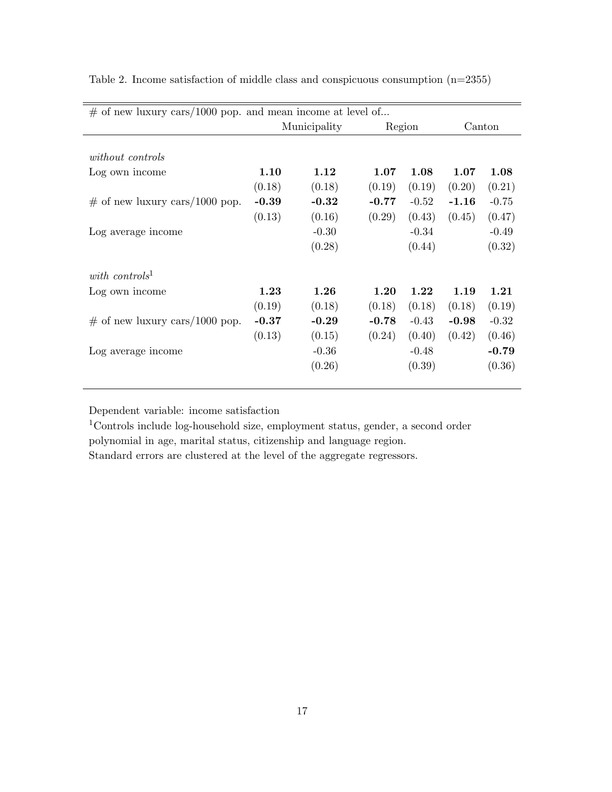| $\#$ of new luxury cars/1000 pop. and mean income at level of |              |         |         |         |         |         |  |
|---------------------------------------------------------------|--------------|---------|---------|---------|---------|---------|--|
|                                                               | Municipality |         | Region  |         | Canton  |         |  |
|                                                               |              |         |         |         |         |         |  |
| <i>without controls</i>                                       |              |         |         |         |         |         |  |
| Log own income                                                | 1.10         | 1.12    | 1.07    | 1.08    | 1.07    | 1.08    |  |
|                                                               | (0.18)       | (0.18)  | (0.19)  | (0.19)  | (0.20)  | (0.21)  |  |
| $\#$ of new luxury cars/1000 pop.                             | $-0.39$      | $-0.32$ | $-0.77$ | $-0.52$ | $-1.16$ | $-0.75$ |  |
|                                                               | (0.13)       | (0.16)  | (0.29)  | (0.43)  | (0.45)  | (0.47)  |  |
| Log average income                                            |              | $-0.30$ |         | $-0.34$ |         | $-0.49$ |  |
|                                                               |              | (0.28)  |         | (0.44)  |         | (0.32)  |  |
| with controls <sup>1</sup>                                    |              |         |         |         |         |         |  |
| Log own income                                                | 1.23         | 1.26    | 1.20    | 1.22    | 1.19    | 1.21    |  |
|                                                               | (0.19)       | (0.18)  | (0.18)  | (0.18)  | (0.18)  | (0.19)  |  |
| $\#$ of new luxury cars/1000 pop.                             | $-0.37$      | $-0.29$ | $-0.78$ | $-0.43$ | $-0.98$ | $-0.32$ |  |
|                                                               | (0.13)       | (0.15)  | (0.24)  | (0.40)  | (0.42)  | (0.46)  |  |
| Log average income                                            |              | $-0.36$ |         | $-0.48$ |         | $-0.79$ |  |
|                                                               |              | (0.26)  |         | (0.39)  |         | (0.36)  |  |

Table 2. Income satisfaction of middle class and conspicuous consumption (n=2355)

Dependent variable: income satisfaction

<sup>1</sup>Controls include log-household size, employment status, gender, a second order polynomial in age, marital status, citizenship and language region.

Standard errors are clustered at the level of the aggregate regressors.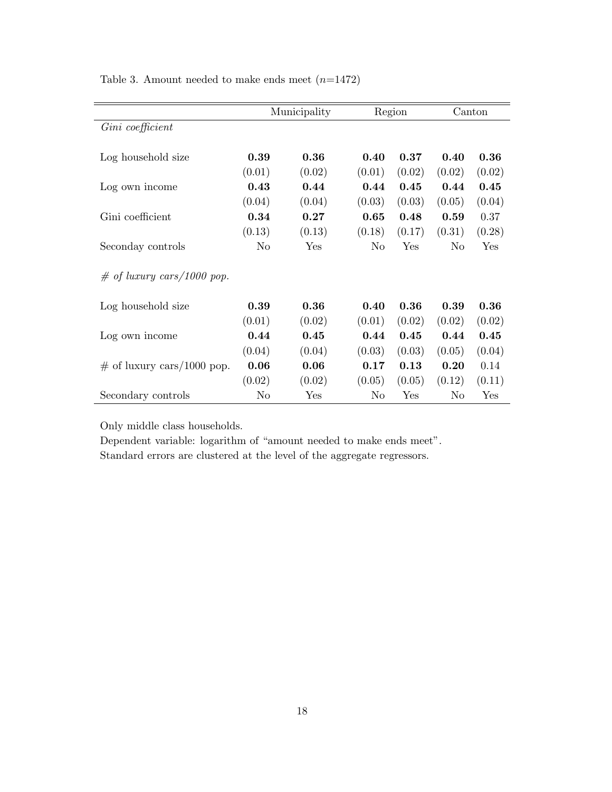|                               | Municipality |        | Region |        | Canton |        |
|-------------------------------|--------------|--------|--------|--------|--------|--------|
| Gini coefficient              |              |        |        |        |        |        |
| Log household size            | 0.39         | 0.36   | 0.40   | 0.37   | 0.40   | 0.36   |
|                               | (0.01)       | (0.02) | (0.01) | (0.02) | (0.02) | (0.02) |
| Log own income                | 0.43         | 0.44   | 0.44   | 0.45   | 0.44   | 0.45   |
|                               | (0.04)       | (0.04) | (0.03) | (0.03) | (0.05) | (0.04) |
| Gini coefficient              | 0.34         | 0.27   | 0.65   | 0.48   | 0.59   | 0.37   |
|                               | (0.13)       | (0.13) | (0.18) | (0.17) | (0.31) | (0.28) |
| Seconday controls             | No           | Yes    | No     | Yes    | No     | Yes    |
| $\#$ of luxury cars/1000 pop. |              |        |        |        |        |        |
| Log household size            | 0.39         | 0.36   | 0.40   | 0.36   | 0.39   | 0.36   |
|                               | (0.01)       | (0.02) | (0.01) | (0.02) | (0.02) | (0.02) |
| Log own income                | 0.44         | 0.45   | 0.44   | 0.45   | 0.44   | 0.45   |
|                               | (0.04)       | (0.04) | (0.03) | (0.03) | (0.05) | (0.04) |
| $\#$ of luxury cars/1000 pop. | 0.06         | 0.06   | 0.17   | 0.13   | 0.20   | 0.14   |
|                               | (0.02)       | (0.02) | (0.05) | (0.05) | (0.12) | (0.11) |
| Secondary controls            | No           | Yes    | No     | Yes    | No     | Yes    |

Table 3. Amount needed to make ends meet  $(n=1472)$ 

Only middle class households.

Dependent variable: logarithm of "amount needed to make ends meet". Standard errors are clustered at the level of the aggregate regressors.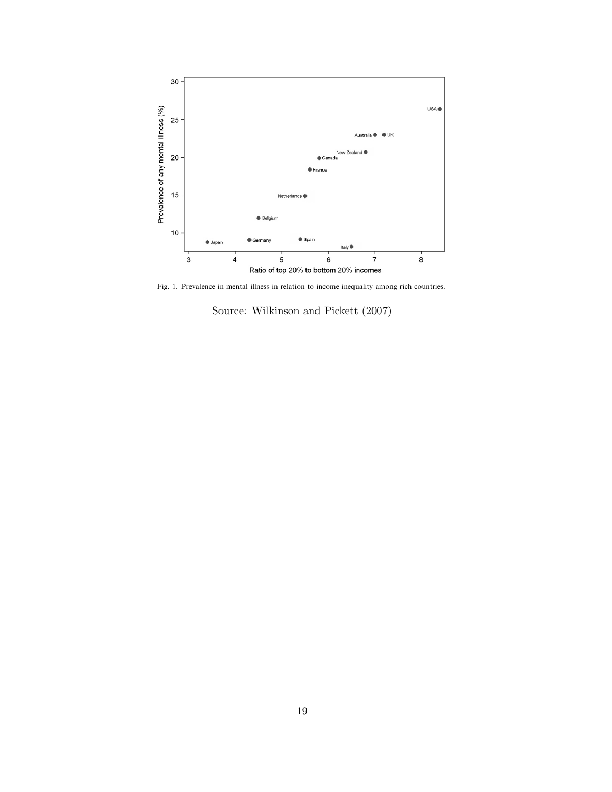

Fig. 1. Prevalence in mental illness in relation to income inequality among rich countries.

Source: Wilkinson and Pickett (2007)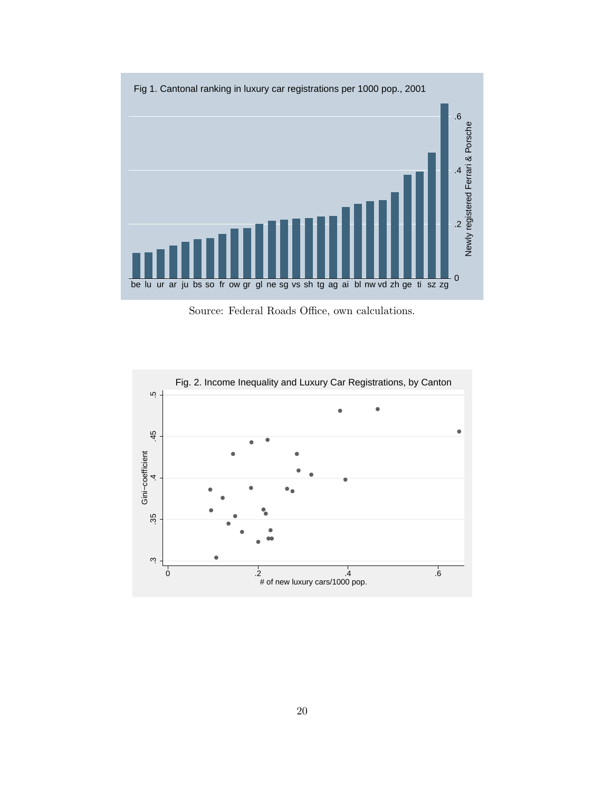

Source: Federal Roads Office, own calculations.